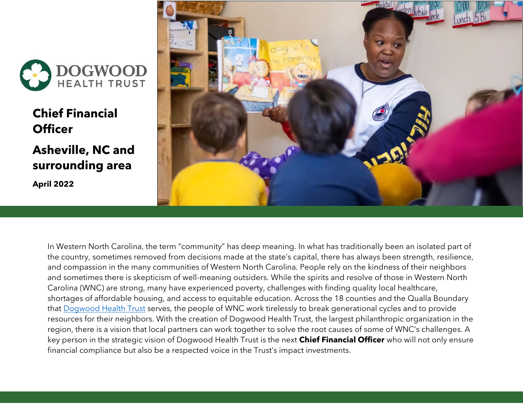

**Chief Financial Officer**

**Asheville, NC and surrounding area April 2022**



In Western North Carolina, the term "community" has deep meaning. In what has traditionally been an isolated part of the country, sometimes removed from decisions made at the state's capital, there has always been strength, resilience, and compassion in the many communities of Western North Carolina. People rely on the kindness of their neighbors and sometimes there is skepticism of well-meaning outsiders. While the spirits and resolve of those in Western North Carolina (WNC) are strong, many have experienced poverty, challenges with finding quality local healthcare, shortages of affordable housing, and access to equitable education. Across the 18 counties and the Qualla Boundary that [Dogwood Health Trust](https://dogwoodhealthtrust.org/) serves, the people of WNC work tirelessly to break generational cycles and to provide resources for their neighbors. With the creation of Dogwood Health Trust, the largest philanthropic organization in the region, there is a vision that local partners can work together to solve the root causes of some of WNC's challenges. A key person in the strategic vision of Dogwood Health Trust is the next **Chief Financial Officer** who will not only ensure financial compliance but also be a respected voice in the Trust's impact investments.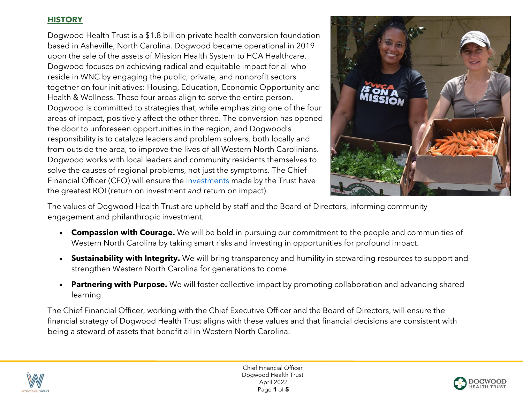# **HISTORY**

Dogwood Health Trust is a \$1.8 billion private health conversion foundation based in Asheville, North Carolina. Dogwood became operational in 2019 upon the sale of the assets of Mission Health System to HCA Healthcare. Dogwood focuses on achieving radical and equitable impact for all who reside in WNC by engaging the public, private, and nonprofit sectors together on four initiatives: Housing, Education, Economic Opportunity and Health & Wellness. These four areas align to serve the entire person. Dogwood is committed to strategies that, while emphasizing one of the four areas of impact, positively affect the other three. The conversion has opened the door to unforeseen opportunities in the region, and Dogwood's responsibility is to catalyze leaders and problem solvers, both locally and from outside the area, to improve the lives of all Western North Carolinians. Dogwood works with local leaders and community residents themselves to solve the causes of regional problems, not just the symptoms. The Chief Financial Officer (CFO) will ensure the [investments](https://report.dogwoodhealthtrust.org/welcome-2021/) made by the Trust have the greatest ROI (return on investment *and* return on impact).



The values of Dogwood Health Trust are upheld by staff and the Board of Directors, informing community engagement and philanthropic investment.

- **Compassion with Courage.** We will be bold in pursuing our commitment to the people and communities of Western North Carolina by taking smart risks and investing in opportunities for profound impact.
- **Sustainability with Integrity.** We will bring transparency and humility in stewarding resources to support and strengthen Western North Carolina for generations to come.
- **Partnering with Purpose.** We will foster collective impact by promoting collaboration and advancing shared learning.

The Chief Financial Officer, working with the Chief Executive Officer and the Board of Directors, will ensure the financial strategy of Dogwood Health Trust aligns with these values and that financial decisions are consistent with being a steward of assets that benefit all in Western North Carolina.



 Chief Financial Officer Dogwood Health Trust April 2022 Page **1** of **5**

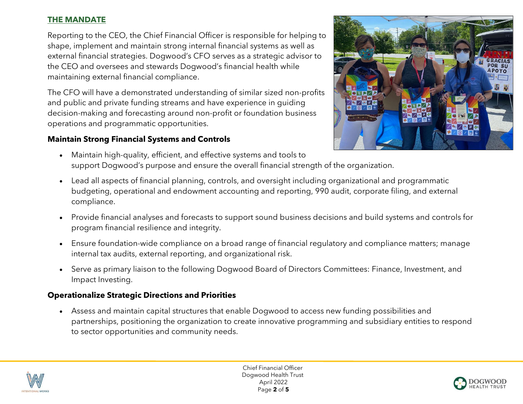# **THE MANDATE**

Reporting to the CEO, the Chief Financial Officer is responsible for helping to shape, implement and maintain strong internal financial systems as well as external financial strategies. Dogwood's CFO serves as a strategic advisor to the CEO and oversees and stewards Dogwood's financial health while maintaining external financial compliance.

The CFO will have a demonstrated understanding of similar sized non-profits and public and private funding streams and have experience in guiding decision-making and forecasting around non-profit or foundation business operations and programmatic opportunities.

# **Maintain Strong Financial Systems and Controls**



- Maintain high-quality, efficient, and effective systems and tools to support Dogwood's purpose and ensure the overall financial strength of the organization.
- Lead all aspects of financial planning, controls, and oversight including organizational and programmatic budgeting, operational and endowment accounting and reporting, 990 audit, corporate filing, and external compliance.
- Provide financial analyses and forecasts to support sound business decisions and build systems and controls for program financial resilience and integrity.
- Ensure foundation-wide compliance on a broad range of financial regulatory and compliance matters; manage internal tax audits, external reporting, and organizational risk.
- Serve as primary liaison to the following Dogwood Board of Directors Committees: Finance, Investment, and Impact Investing.

# **Operationalize Strategic Directions and Priorities**

• Assess and maintain capital structures that enable Dogwood to access new funding possibilities and partnerships, positioning the organization to create innovative programming and subsidiary entities to respond to sector opportunities and community needs.



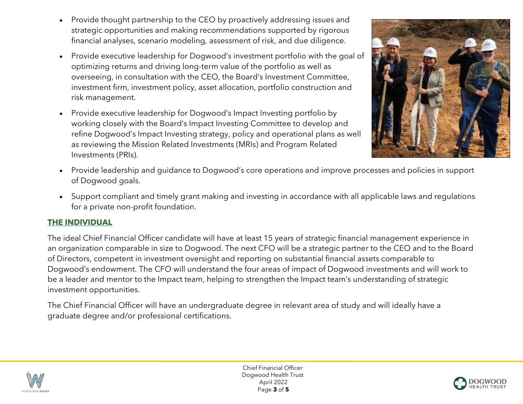- Provide thought partnership to the CEO by proactively addressing issues and strategic opportunities and making recommendations supported by rigorous financial analyses, scenario modeling, assessment of risk, and due diligence.
- Provide executive leadership for Dogwood's investment portfolio with the goal of optimizing returns and driving long-term value of the portfolio as well as overseeing, in consultation with the CEO, the Board's Investment Committee, investment firm, investment policy, asset allocation, portfolio construction and risk management.
- Provide executive leadership for Dogwood's Impact Investing portfolio by working closely with the Board's Impact Investing Committee to develop and refine Dogwood's Impact Investing strategy, policy and operational plans as well as reviewing the Mission Related Investments (MRIs) and Program Related Investments (PRIs).



- Provide leadership and guidance to Dogwood's core operations and improve processes and policies in support of Dogwood goals.
- Support compliant and timely grant making and investing in accordance with all applicable laws and regulations for a private non-profit foundation.

### **THE INDIVIDUAL**

The ideal Chief Financial Officer candidate will have at least 15 years of strategic financial management experience in an organization comparable in size to Dogwood. The next CFO will be a strategic partner to the CEO and to the Board of Directors, competent in investment oversight and reporting on substantial financial assets comparable to Dogwood's endowment. The CFO will understand the four areas of impact of Dogwood investments and will work to be a leader and mentor to the Impact team, helping to strengthen the Impact team's understanding of strategic investment opportunities.

The Chief Financial Officer will have an undergraduate degree in relevant area of study and will ideally have a graduate degree and/or professional certifications.



 Chief Financial Officer Dogwood Health Trust April 2022 Page **3** of **5**

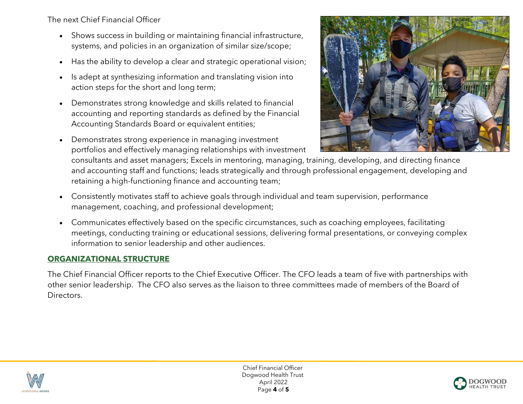The next Chief Financial Officer

- Shows success in building or maintaining financial infrastructure, systems, and policies in an organization of similar size/scope;
- Has the ability to develop a clear and strategic operational vision;
- Is adept at synthesizing information and translating vision into action steps for the short and long term;
- Demonstrates strong knowledge and skills related to financial accounting and reporting standards as defined by the Financial Accounting Standards Board or equivalent entities;
- Demonstrates strong experience in managing investment portfolios and effectively managing relationships with investment



consultants and asset managers; Excels in mentoring, managing, training, developing, and directing finance and accounting staff and functions; leads strategically and through professional engagement, developing and retaining a high-functioning finance and accounting team;

- Consistently motivates staff to achieve goals through individual and team supervision, performance management, coaching, and professional development;
- Communicates effectively based on the specific circumstances, such as coaching employees, facilitating meetings, conducting training or educational sessions, delivering formal presentations, or conveying complex information to senior leadership and other audiences.

# **ORGANIZATIONAL STRUCTURE**

The Chief Financial Officer reports to the Chief Executive Officer. The CFO leads a team of five with partnerships with other senior leadership. The CFO also serves as the liaison to three committees made of members of the Board of Directors.



 Chief Financial Officer Dogwood Health Trust April 2022 Page **4** of **5**